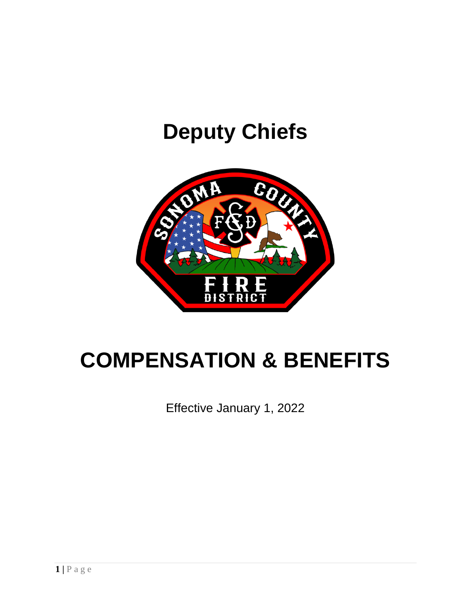# **Deputy Chiefs**



# **COMPENSATION & BENEFITS**

Effective January 1, 2022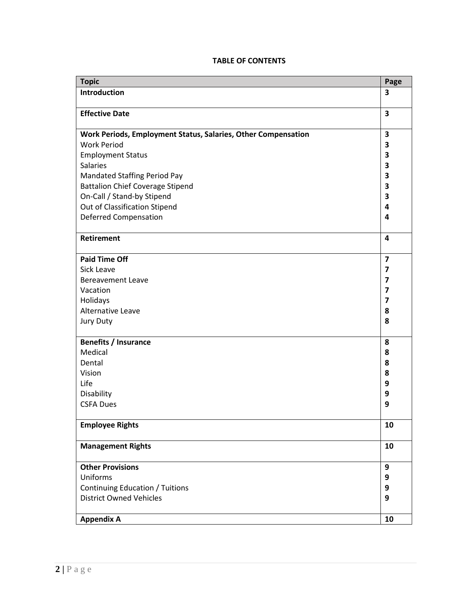# **TABLE OF CONTENTS**

| <b>Topic</b>                                                  | Page           |
|---------------------------------------------------------------|----------------|
| Introduction                                                  | 3              |
|                                                               |                |
| <b>Effective Date</b>                                         | 3              |
|                                                               |                |
| Work Periods, Employment Status, Salaries, Other Compensation | 3              |
| <b>Work Period</b>                                            | 3              |
| <b>Employment Status</b>                                      | 3              |
| <b>Salaries</b>                                               | 3              |
| <b>Mandated Staffing Period Pay</b>                           | 3              |
| <b>Battalion Chief Coverage Stipend</b>                       | 3              |
| On-Call / Stand-by Stipend                                    | 3              |
| Out of Classification Stipend                                 | 4              |
| <b>Deferred Compensation</b>                                  | 4              |
|                                                               |                |
| Retirement                                                    | 4              |
|                                                               |                |
| <b>Paid Time Off</b>                                          | $\overline{7}$ |
| Sick Leave                                                    | 7              |
| <b>Bereavement Leave</b>                                      | 7              |
| Vacation                                                      | 7              |
| Holidays                                                      | 7              |
| Alternative Leave                                             | 8              |
| Jury Duty                                                     | 8              |
|                                                               |                |
| <b>Benefits / Insurance</b>                                   | 8              |
| Medical                                                       | 8              |
| Dental                                                        | 8              |
| Vision                                                        | 8              |
| Life                                                          | 9              |
| Disability                                                    | 9              |
| <b>CSFA Dues</b>                                              | 9              |
|                                                               |                |
| <b>Employee Rights</b>                                        | 10             |
|                                                               |                |
| <b>Management Rights</b>                                      | 10             |
|                                                               |                |
| <b>Other Provisions</b>                                       | 9              |
| Uniforms                                                      | 9              |
| <b>Continuing Education / Tuitions</b>                        | 9              |
| <b>District Owned Vehicles</b>                                | 9              |
|                                                               |                |
|                                                               | 10             |
| <b>Appendix A</b>                                             |                |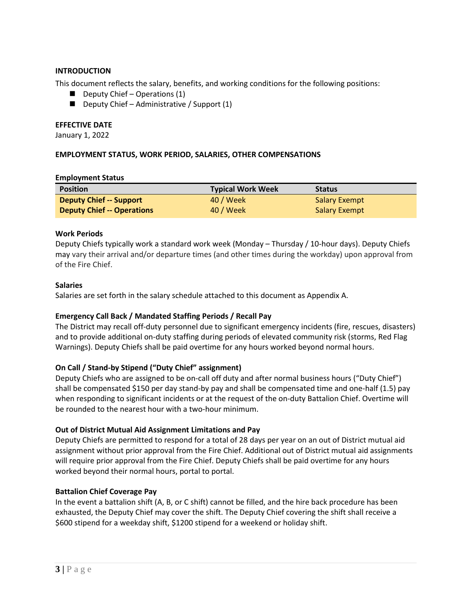# **INTRODUCTION**

This document reflects the salary, benefits, and working conditions for the following positions:

- $\blacksquare$  Deputy Chief Operations (1)
- $\blacksquare$  Deputy Chief Administrative / Support (1)

#### **EFFECTIVE DATE**

January 1, 2022

#### **EMPLOYMENT STATUS, WORK PERIOD, SALARIES, OTHER COMPENSATIONS**

#### **Employment Status**

| <b>Position</b>                   | <b>Typical Work Week</b> | <b>Status</b>        |
|-----------------------------------|--------------------------|----------------------|
| <b>Deputy Chief -- Support</b>    | 40 / Week                | <b>Salary Exempt</b> |
| <b>Deputy Chief -- Operations</b> | 40 / Week                | <b>Salary Exempt</b> |

#### **Work Periods**

Deputy Chiefs typically work a standard work week (Monday – Thursday / 10-hour days). Deputy Chiefs may vary their arrival and/or departure times (and other times during the workday) upon approval from of the Fire Chief.

#### **Salaries**

Salaries are set forth in the salary schedule attached to this document as Appendix A.

# **Emergency Call Back / Mandated Staffing Periods / Recall Pay**

The District may recall off-duty personnel due to significant emergency incidents (fire, rescues, disasters) and to provide additional on-duty staffing during periods of elevated community risk (storms, Red Flag Warnings). Deputy Chiefs shall be paid overtime for any hours worked beyond normal hours.

# **On Call / Stand-by Stipend ("Duty Chief" assignment)**

Deputy Chiefs who are assigned to be on-call off duty and after normal business hours ("Duty Chief") shall be compensated \$150 per day stand-by pay and shall be compensated time and one-half (1.5) pay when responding to significant incidents or at the request of the on-duty Battalion Chief. Overtime will be rounded to the nearest hour with a two-hour minimum.

# **Out of District Mutual Aid Assignment Limitations and Pay**

Deputy Chiefs are permitted to respond for a total of 28 days per year on an out of District mutual aid assignment without prior approval from the Fire Chief. Additional out of District mutual aid assignments will require prior approval from the Fire Chief. Deputy Chiefs shall be paid overtime for any hours worked beyond their normal hours, portal to portal.

#### **Battalion Chief Coverage Pay**

In the event a battalion shift (A, B, or C shift) cannot be filled, and the hire back procedure has been exhausted, the Deputy Chief may cover the shift. The Deputy Chief covering the shift shall receive a \$600 stipend for a weekday shift, \$1200 stipend for a weekend or holiday shift.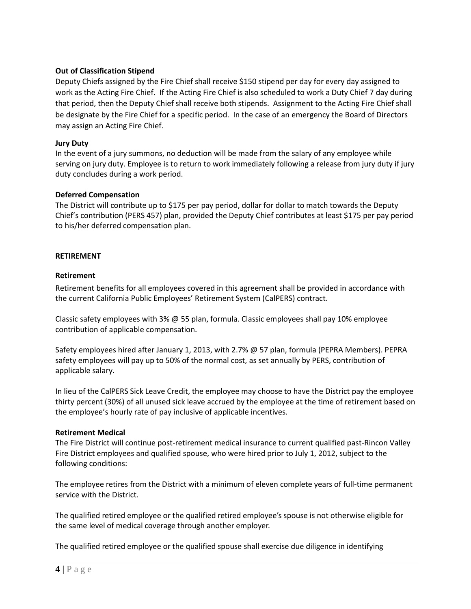# **Out of Classification Stipend**

Deputy Chiefs assigned by the Fire Chief shall receive \$150 stipend per day for every day assigned to work as the Acting Fire Chief. If the Acting Fire Chief is also scheduled to work a Duty Chief 7 day during that period, then the Deputy Chief shall receive both stipends. Assignment to the Acting Fire Chief shall be designate by the Fire Chief for a specific period. In the case of an emergency the Board of Directors may assign an Acting Fire Chief.

# **Jury Duty**

In the event of a jury summons, no deduction will be made from the salary of any employee while serving on jury duty. Employee is to return to work immediately following a release from jury duty if jury duty concludes during a work period.

# **Deferred Compensation**

The District will contribute up to \$175 per pay period, dollar for dollar to match towards the Deputy Chief's contribution (PERS 457) plan, provided the Deputy Chief contributes at least \$175 per pay period to his/her deferred compensation plan.

# **RETIREMENT**

# **Retirement**

Retirement benefits for all employees covered in this agreement shall be provided in accordance with the current California Public Employees' Retirement System (CalPERS) contract.

Classic safety employees with 3% @ 55 plan, formula. Classic employees shall pay 10% employee contribution of applicable compensation.

Safety employees hired after January 1, 2013, with 2.7% @ 57 plan, formula (PEPRA Members). PEPRA safety employees will pay up to 50% of the normal cost, as set annually by PERS, contribution of applicable salary.

In lieu of the CalPERS Sick Leave Credit, the employee may choose to have the District pay the employee thirty percent (30%) of all unused sick leave accrued by the employee at the time of retirement based on the employee's hourly rate of pay inclusive of applicable incentives.

# **Retirement Medical**

The Fire District will continue post-retirement medical insurance to current qualified past-Rincon Valley Fire District employees and qualified spouse, who were hired prior to July 1, 2012, subject to the following conditions:

The employee retires from the District with a minimum of eleven complete years of full-time permanent service with the District.

The qualified retired employee or the qualified retired employee's spouse is not otherwise eligible for the same level of medical coverage through another employer.

The qualified retired employee or the qualified spouse shall exercise due diligence in identifying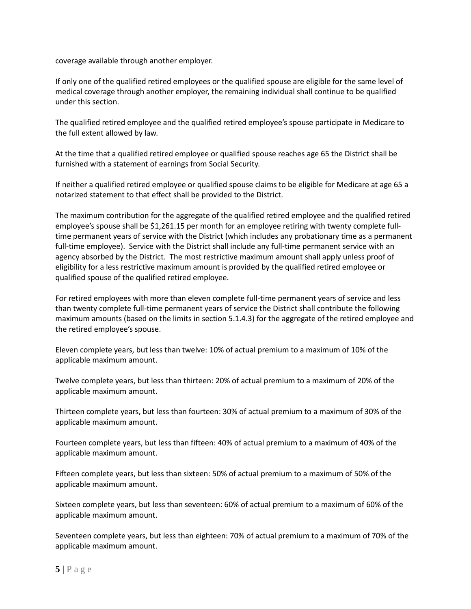coverage available through another employer.

If only one of the qualified retired employees or the qualified spouse are eligible for the same level of medical coverage through another employer, the remaining individual shall continue to be qualified under this section.

The qualified retired employee and the qualified retired employee's spouse participate in Medicare to the full extent allowed by law.

At the time that a qualified retired employee or qualified spouse reaches age 65 the District shall be furnished with a statement of earnings from Social Security.

If neither a qualified retired employee or qualified spouse claims to be eligible for Medicare at age 65 a notarized statement to that effect shall be provided to the District.

The maximum contribution for the aggregate of the qualified retired employee and the qualified retired employee's spouse shall be \$1,261.15 per month for an employee retiring with twenty complete fulltime permanent years of service with the District (which includes any probationary time as a permanent full-time employee). Service with the District shall include any full-time permanent service with an agency absorbed by the District. The most restrictive maximum amount shall apply unless proof of eligibility for a less restrictive maximum amount is provided by the qualified retired employee or qualified spouse of the qualified retired employee.

For retired employees with more than eleven complete full-time permanent years of service and less than twenty complete full-time permanent years of service the District shall contribute the following maximum amounts (based on the limits in section 5.1.4.3) for the aggregate of the retired employee and the retired employee's spouse.

Eleven complete years, but less than twelve: 10% of actual premium to a maximum of 10% of the applicable maximum amount.

Twelve complete years, but less than thirteen: 20% of actual premium to a maximum of 20% of the applicable maximum amount.

Thirteen complete years, but less than fourteen: 30% of actual premium to a maximum of 30% of the applicable maximum amount.

Fourteen complete years, but less than fifteen: 40% of actual premium to a maximum of 40% of the applicable maximum amount.

Fifteen complete years, but less than sixteen: 50% of actual premium to a maximum of 50% of the applicable maximum amount.

Sixteen complete years, but less than seventeen: 60% of actual premium to a maximum of 60% of the applicable maximum amount.

Seventeen complete years, but less than eighteen: 70% of actual premium to a maximum of 70% of the applicable maximum amount.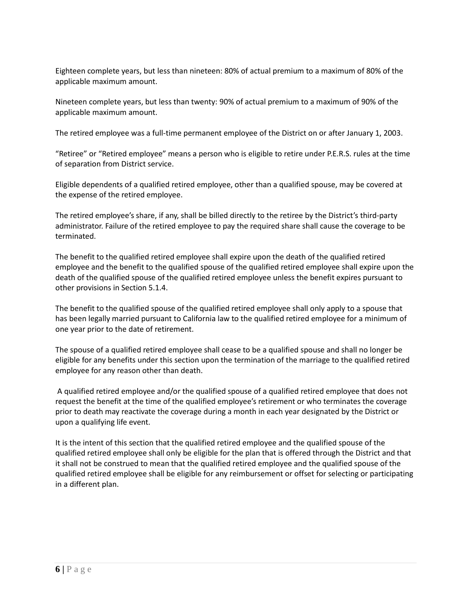Eighteen complete years, but less than nineteen: 80% of actual premium to a maximum of 80% of the applicable maximum amount.

Nineteen complete years, but less than twenty: 90% of actual premium to a maximum of 90% of the applicable maximum amount.

The retired employee was a full-time permanent employee of the District on or after January 1, 2003.

"Retiree" or "Retired employee" means a person who is eligible to retire under P.E.R.S. rules at the time of separation from District service.

Eligible dependents of a qualified retired employee, other than a qualified spouse, may be covered at the expense of the retired employee.

The retired employee's share, if any, shall be billed directly to the retiree by the District's third-party administrator. Failure of the retired employee to pay the required share shall cause the coverage to be terminated.

The benefit to the qualified retired employee shall expire upon the death of the qualified retired employee and the benefit to the qualified spouse of the qualified retired employee shall expire upon the death of the qualified spouse of the qualified retired employee unless the benefit expires pursuant to other provisions in Section 5.1.4.

The benefit to the qualified spouse of the qualified retired employee shall only apply to a spouse that has been legally married pursuant to California law to the qualified retired employee for a minimum of one year prior to the date of retirement.

The spouse of a qualified retired employee shall cease to be a qualified spouse and shall no longer be eligible for any benefits under this section upon the termination of the marriage to the qualified retired employee for any reason other than death.

A qualified retired employee and/or the qualified spouse of a qualified retired employee that does not request the benefit at the time of the qualified employee's retirement or who terminates the coverage prior to death may reactivate the coverage during a month in each year designated by the District or upon a qualifying life event.

It is the intent of this section that the qualified retired employee and the qualified spouse of the qualified retired employee shall only be eligible for the plan that is offered through the District and that it shall not be construed to mean that the qualified retired employee and the qualified spouse of the qualified retired employee shall be eligible for any reimbursement or offset for selecting or participating in a different plan.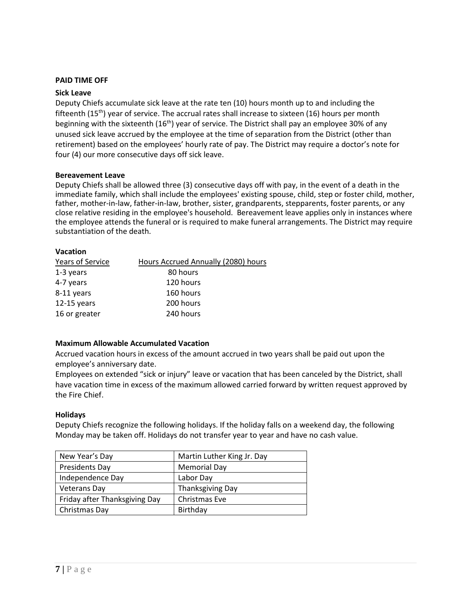#### **PAID TIME OFF**

#### **Sick Leave**

Deputy Chiefs accumulate sick leave at the rate ten (10) hours month up to and including the fifteenth  $(15<sup>th</sup>)$  year of service. The accrual rates shall increase to sixteen (16) hours per month beginning with the sixteenth (16<sup>th</sup>) year of service. The District shall pay an employee 30% of any unused sick leave accrued by the employee at the time of separation from the District (other than retirement) based on the employees' hourly rate of pay. The District may require a doctor's note for four (4) our more consecutive days off sick leave.

#### **Bereavement Leave**

Deputy Chiefs shall be allowed three (3) consecutive days off with pay, in the event of a death in the immediate family, which shall include the employees' existing spouse, child, step or foster child, mother, father, mother-in-law, father-in-law, brother, sister, grandparents, stepparents, foster parents, or any close relative residing in the employee's household. Bereavement leave applies only in instances where the employee attends the funeral or is required to make funeral arrangements. The District may require substantiation of the death.

#### **Vacation**

| Years of Service | Hours Accrued Annually (2080) hours |
|------------------|-------------------------------------|
| 1-3 years        | 80 hours                            |
| 4-7 years        | 120 hours                           |
| 8-11 years       | 160 hours                           |
| $12-15$ years    | 200 hours                           |
| 16 or greater    | 240 hours                           |

# **Maximum Allowable Accumulated Vacation**

Accrued vacation hours in excess of the amount accrued in two years shall be paid out upon the employee's anniversary date.

Employees on extended "sick or injury" leave or vacation that has been canceled by the District, shall have vacation time in excess of the maximum allowed carried forward by written request approved by the Fire Chief.

#### **Holidays**

Deputy Chiefs recognize the following holidays. If the holiday falls on a weekend day, the following Monday may be taken off. Holidays do not transfer year to year and have no cash value.

| New Year's Day                | Martin Luther King Jr. Day |
|-------------------------------|----------------------------|
| Presidents Day                | <b>Memorial Day</b>        |
| Independence Day              | Labor Day                  |
| <b>Veterans Day</b>           | <b>Thanksgiving Day</b>    |
| Friday after Thanksgiving Day | Christmas Eve              |
| Christmas Day                 | Birthday                   |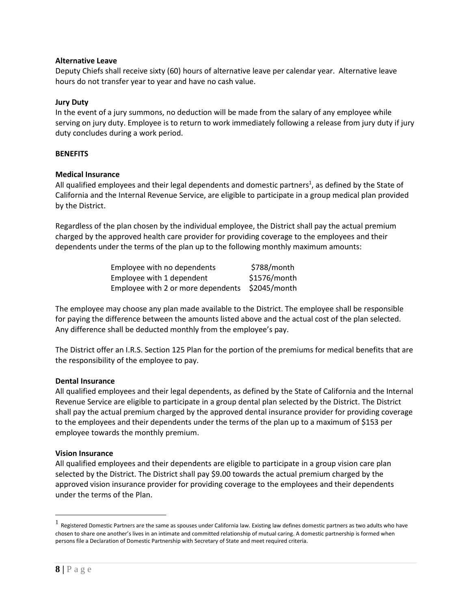# **Alternative Leave**

Deputy Chiefs shall receive sixty (60) hours of alternative leave per calendar year. Alternative leave hours do not transfer year to year and have no cash value.

# **Jury Duty**

In the event of a jury summons, no deduction will be made from the salary of any employee while serving on jury duty. Employee is to return to work immediately following a release from jury duty if jury duty concludes during a work period.

# **BENEFITS**

# **Medical Insurance**

All qualified employees and their legal dependents and domestic partners<sup>1</sup>, as defined by the State of California and the Internal Revenue Service, are eligible to participate in a group medical plan provided by the District.

Regardless of the plan chosen by the individual employee, the District shall pay the actual premium charged by the approved health care provider for providing coverage to the employees and their dependents under the terms of the plan up to the following monthly maximum amounts:

| Employee with no dependents        | \$788/month  |
|------------------------------------|--------------|
| Employee with 1 dependent          | \$1576/month |
| Employee with 2 or more dependents | \$2045/month |

The employee may choose any plan made available to the District. The employee shall be responsible for paying the difference between the amounts listed above and the actual cost of the plan selected. Any difference shall be deducted monthly from the employee's pay.

The District offer an I.R.S. Section 125 Plan for the portion of the premiums for medical benefits that are the responsibility of the employee to pay.

# **Dental Insurance**

All qualified employees and their legal dependents, as defined by the State of California and the Internal Revenue Service are eligible to participate in a group dental plan selected by the District. The District shall pay the actual premium charged by the approved dental insurance provider for providing coverage to the employees and their dependents under the terms of the plan up to a maximum of \$153 per employee towards the monthly premium.

# **Vision Insurance**

All qualified employees and their dependents are eligible to participate in a group vision care plan selected by the District. The District shall pay \$9.00 towards the actual premium charged by the approved vision insurance provider for providing coverage to the employees and their dependents under the terms of the Plan.

 $^1$  Registered Domestic Partners are the same as spouses under California law. Existing law defines domestic partners as two adults who have chosen to share one another's lives in an intimate and committed relationship of mutual caring. A domestic partnership is formed when persons file a Declaration of Domestic Partnership with Secretary of State and meet required criteria.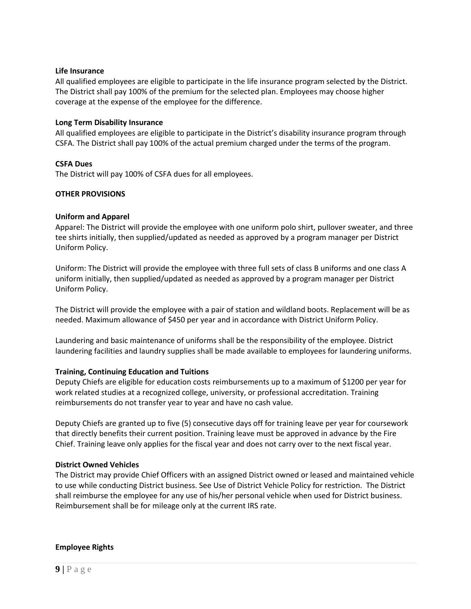#### **Life Insurance**

All qualified employees are eligible to participate in the life insurance program selected by the District. The District shall pay 100% of the premium for the selected plan. Employees may choose higher coverage at the expense of the employee for the difference.

#### **Long Term Disability Insurance**

All qualified employees are eligible to participate in the District's disability insurance program through CSFA. The District shall pay 100% of the actual premium charged under the terms of the program.

# **CSFA Dues**

The District will pay 100% of CSFA dues for all employees.

#### **OTHER PROVISIONS**

#### **Uniform and Apparel**

Apparel: The District will provide the employee with one uniform polo shirt, pullover sweater, and three tee shirts initially, then supplied/updated as needed as approved by a program manager per District Uniform Policy.

Uniform: The District will provide the employee with three full sets of class B uniforms and one class A uniform initially, then supplied/updated as needed as approved by a program manager per District Uniform Policy.

The District will provide the employee with a pair of station and wildland boots. Replacement will be as needed. Maximum allowance of \$450 per year and in accordance with District Uniform Policy.

Laundering and basic maintenance of uniforms shall be the responsibility of the employee. District laundering facilities and laundry supplies shall be made available to employees for laundering uniforms.

# **Training, Continuing Education and Tuitions**

Deputy Chiefs are eligible for education costs reimbursements up to a maximum of \$1200 per year for work related studies at a recognized college, university, or professional accreditation. Training reimbursements do not transfer year to year and have no cash value.

Deputy Chiefs are granted up to five (5) consecutive days off for training leave per year for coursework that directly benefits their current position. Training leave must be approved in advance by the Fire Chief. Training leave only applies for the fiscal year and does not carry over to the next fiscal year.

# **District Owned Vehicles**

The District may provide Chief Officers with an assigned District owned or leased and maintained vehicle to use while conducting District business. See Use of District Vehicle Policy for restriction. The District shall reimburse the employee for any use of his/her personal vehicle when used for District business. Reimbursement shall be for mileage only at the current IRS rate.

#### **Employee Rights**